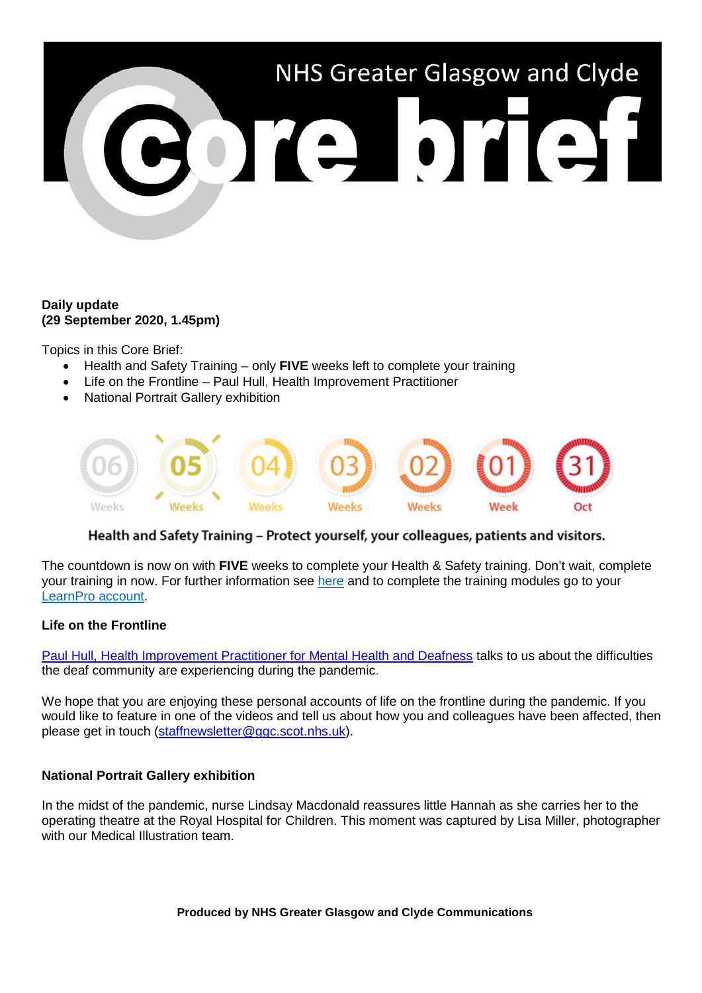

## **Daily update (29 September 2020, 1.45pm)**

Topics in this Core Brief:

- Health and Safety Training only **FIVE** weeks left to complete your training
- Life on the Frontline Paul Hull, Health Improvement Practitioner
- National Portrait Gallery exhibition



## Health and Safety Training - Protect yourself, your colleagues, patients and visitors.

The countdown is now on with **FIVE** weeks to complete your Health & Safety training. Don't wait, complete your training in now. For further information see [here](https://www.nhsggc.org.uk/working-with-us/hr-connect/health-safety/training-and-education/health-safety-training/) and to complete the training modules go to your [LearnPro account.](http://nhs.learnprouk.com/)

## **Life on the Frontline**

[Paul Hull, Health Improvement Practitioner for Mental Health and Deafness](https://www.youtube.com/watch?v=dvsx7ypaRao) talks to us about the difficulties the deaf community are experiencing during the pandemic.

We hope that you are enjoying these personal accounts of life on the frontline during the pandemic. If you would like to feature in one of the videos and tell us about how you and colleagues have been affected, then please get in touch [\(staffnewsletter@ggc.scot.nhs.uk\)](mailto:staffnewsletter@ggc.scot.nhs.uk).

## **National Portrait Gallery exhibition**

In the midst of the pandemic, nurse Lindsay Macdonald reassures little Hannah as she carries her to the operating theatre at the Royal Hospital for Children. This moment was captured by Lisa Miller, photographer with our Medical Illustration team.